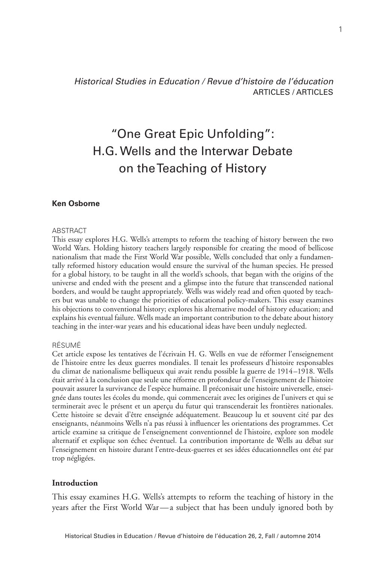*Historical Studies in Education / Revue d'histoire de l'éducation* ARTICLES / ARTICLES

# "One Great Epic Unfolding": H.G. Wells and the Interwar Debate on the Teaching of History

#### **Ken Osborne**

#### ABSTRACT

This essay explores H.G. Wells's attempts to reform the teaching of history between the two World Wars. Holding history teachers largely responsible for creating the mood of bellicose nationalism that made the First World War possible, Wells concluded that only a fundamentally reformed history education would ensure the survival of the human species. He pressed for a global history, to be taught in all the world's schools, that began with the origins of the universe and ended with the present and a glimpse into the future that transcended national borders, and would be taught appropriately. Wells was widely read and often quoted by teachers but was unable to change the priorities of educational policy-makers. This essay examines his objections to conventional history; explores his alternative model of history education; and explains his eventual failure. Wells made an important contribution to the debate about history teaching in the inter-war years and his educational ideas have been unduly neglected.

#### RÉSUMÉ

Cet article expose les tentatives de l'écrivain H. G. Wells en vue de réformer l'enseignement de l'histoire entre les deux guerres mondiales. Il tenait les professeurs d'histoire responsables du climat de nationalisme belliqueux qui avait rendu possible la guerre de 1914–1918. Wells était arrivé à la conclusion que seule une réforme en profondeur de l'enseignement de l'histoire pouvait assurer la survivance de l'espèce humaine. Il préconisait une histoire universelle, enseignée dans toutes les écoles du monde, qui commencerait avec les origines de l'univers et qui se terminerait avec le présent et un aperçu du futur qui transcenderait les frontières nationales. Cette histoire se devait d'être enseignée adéquatement. Beaucoup lu et souvent cité par des enseignants, néanmoins Wells n'a pas réussi à influencer les orientations des programmes. Cet article examine sa critique de l'enseignement conventionnel de l'histoire, explore son modèle alternatif et explique son échec éventuel. La contribution importante de Wells au débat sur l'enseignement en histoire durant l'entre-deux-guerres et ses idées éducationnelles ont été par trop négligées.

### **Introduction**

This essay examines H.G. Wells's attempts to reform the teaching of history in the years after the First World War—a subject that has been unduly ignored both by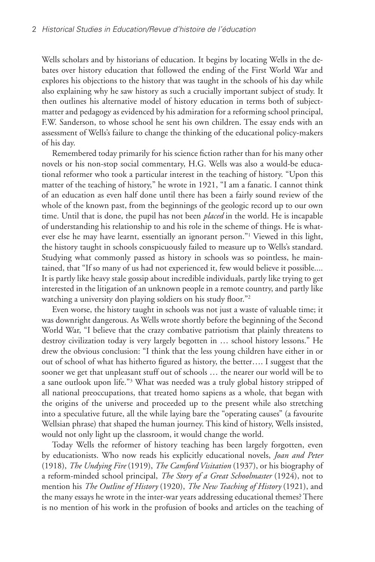Wells scholars and by historians of education. It begins by locating Wells in the debates over history education that followed the ending of the First World War and explores his objections to the history that was taught in the schools of his day while also explaining why he saw history as such a crucially important subject of study. It then outlines his alternative model of history education in terms both of subjectmatter and pedagogy as evidenced by his admiration for a reforming school principal, F.W. Sanderson, to whose school he sent his own children. The essay ends with an assessment of Wells's failure to change the thinking of the educational policy-makers of his day.

Remembered today primarily for his science fiction rather than for his many other novels or his non-stop social commentary, H.G. Wells was also a would-be educational reformer who took a particular interest in the teaching of history. "Upon this matter of the teaching of history," he wrote in 1921, "I am a fanatic. I cannot think of an education as even half done until there has been a fairly sound review of the whole of the known past, from the beginnings of the geologic record up to our own time. Until that is done, the pupil has not been *placed* in the world. He is incapable of understanding his relationship to and his role in the scheme of things. He is whatever else he may have learnt, essentially an ignorant person."1 Viewed in this light, the history taught in schools conspicuously failed to measure up to Wells's standard. Studying what commonly passed as history in schools was so pointless, he maintained, that "If so many of us had not experienced it, few would believe it possible.... It is partly like heavy stale gossip about incredible individuals, partly like trying to get interested in the litigation of an unknown people in a remote country, and partly like watching a university don playing soldiers on his study floor."<sup>2</sup>

Even worse, the history taught in schools was not just a waste of valuable time; it was downright dangerous. As Wells wrote shortly before the beginning of the Second World War, "I believe that the crazy combative patriotism that plainly threatens to destroy civilization today is very largely begotten in … school history lessons." He drew the obvious conclusion: "I think that the less young children have either in or out of school of what has hitherto figured as history, the better…. I suggest that the sooner we get that unpleasant stuff out of schools … the nearer our world will be to a sane outlook upon life."3 What was needed was a truly global history stripped of all national preoccupations, that treated homo sapiens as a whole, that began with the origins of the universe and proceeded up to the present while also stretching into a speculative future, all the while laying bare the "operating causes" (a favourite Wellsian phrase) that shaped the human journey. This kind of history, Wells insisted, would not only light up the classroom, it would change the world.

Today Wells the reformer of history teaching has been largely forgotten, even by educationists. Who now reads his explicitly educational novels, *Joan and Peter* (1918), *The Undying Fire* (1919), *The Camford Visitation* (1937), or his biography of a reform-minded school principal, *The Story of a Great Schoolmaster* (1924), not to mention his *The Outline of History* (1920), *The New Teaching of History* (1921), and the many essays he wrote in the inter-war years addressing educational themes? There is no mention of his work in the profusion of books and articles on the teaching of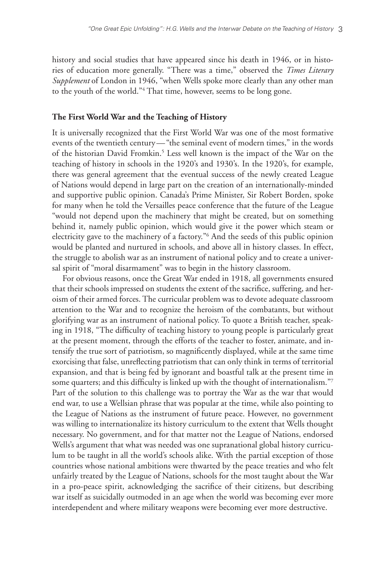history and social studies that have appeared since his death in 1946, or in histories of education more generally. "There was a time," observed the *Times Literary Supplement* of London in 1946, "when Wells spoke more clearly than any other man to the youth of the world."4 That time, however, seems to be long gone.

## **The First World War and the Teaching of History**

It is universally recognized that the First World War was one of the most formative events of the twentieth century—"the seminal event of modern times," in the words of the historian David Fromkin.<sup>5</sup> Less well known is the impact of the War on the teaching of history in schools in the 1920's and 1930's. In the 1920's, for example, there was general agreement that the eventual success of the newly created League of Nations would depend in large part on the creation of an internationally-minded and supportive public opinion. Canada's Prime Minister, Sir Robert Borden, spoke for many when he told the Versailles peace conference that the future of the League "would not depend upon the machinery that might be created, but on something behind it, namely public opinion, which would give it the power which steam or electricity gave to the machinery of a factory."6 And the seeds of this public opinion would be planted and nurtured in schools, and above all in history classes. In effect, the struggle to abolish war as an instrument of national policy and to create a universal spirit of "moral disarmament" was to begin in the history classroom.

For obvious reasons, once the Great War ended in 1918, all governments ensured that their schools impressed on students the extent of the sacrifice, suffering, and heroism of their armed forces. The curricular problem was to devote adequate classroom attention to the War and to recognize the heroism of the combatants, but without glorifying war as an instrument of national policy. To quote a British teacher, speaking in 1918, "The difficulty of teaching history to young people is particularly great at the present moment, through the efforts of the teacher to foster, animate, and intensify the true sort of patriotism, so magnificently displayed, while at the same time exorcising that false, unreflecting patriotism that can only think in terms of territorial expansion, and that is being fed by ignorant and boastful talk at the present time in some quarters; and this difficulty is linked up with the thought of internationalism."7 Part of the solution to this challenge was to portray the War as the war that would end war, to use a Wellsian phrase that was popular at the time, while also pointing to the League of Nations as the instrument of future peace. However, no government was willing to internationalize its history curriculum to the extent that Wells thought necessary. No government, and for that matter not the League of Nations, endorsed Wells's argument that what was needed was one supranational global history curriculum to be taught in all the world's schools alike. With the partial exception of those countries whose national ambitions were thwarted by the peace treaties and who felt unfairly treated by the League of Nations, schools for the most taught about the War in a pro-peace spirit, acknowledging the sacrifice of their citizens, but describing war itself as suicidally outmoded in an age when the world was becoming ever more interdependent and where military weapons were becoming ever more destructive.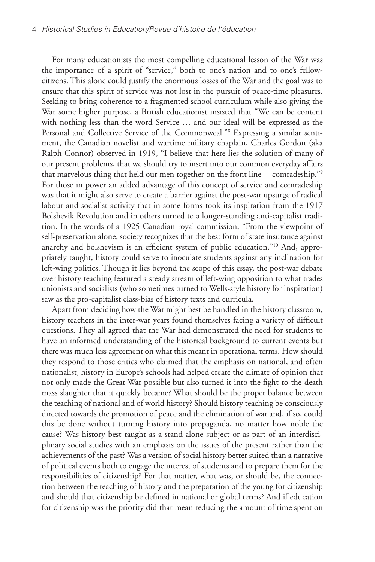For many educationists the most compelling educational lesson of the War was the importance of a spirit of "service," both to one's nation and to one's fellowcitizens. This alone could justify the enormous losses of the War and the goal was to ensure that this spirit of service was not lost in the pursuit of peace-time pleasures. Seeking to bring coherence to a fragmented school curriculum while also giving the War some higher purpose, a British educationist insisted that "We can be content with nothing less than the word Service … and our ideal will be expressed as the Personal and Collective Service of the Commonweal."8 Expressing a similar sentiment, the Canadian novelist and wartime military chaplain, Charles Gordon (aka Ralph Connor) observed in 1919, "I believe that here lies the solution of many of our present problems, that we should try to insert into our common everyday affairs that marvelous thing that held our men together on the front line—comradeship."9 For those in power an added advantage of this concept of service and comradeship was that it might also serve to create a barrier against the post-war upsurge of radical labour and socialist activity that in some forms took its inspiration from the 1917 Bolshevik Revolution and in others turned to a longer-standing anti-capitalist tradition. In the words of a 1925 Canadian royal commission, "From the viewpoint of self-preservation alone, society recognizes that the best form of state insurance against anarchy and bolshevism is an efficient system of public education."10 And, appropriately taught, history could serve to inoculate students against any inclination for left-wing politics. Though it lies beyond the scope of this essay, the post-war debate over history teaching featured a steady stream of left-wing opposition to what trades unionists and socialists (who sometimes turned to Wells-style history for inspiration) saw as the pro-capitalist class-bias of history texts and curricula.

Apart from deciding how the War might best be handled in the history classroom, history teachers in the inter-war years found themselves facing a variety of difficult questions. They all agreed that the War had demonstrated the need for students to have an informed understanding of the historical background to current events but there was much less agreement on what this meant in operational terms. How should they respond to those critics who claimed that the emphasis on national, and often nationalist, history in Europe's schools had helped create the climate of opinion that not only made the Great War possible but also turned it into the fight-to-the-death mass slaughter that it quickly became? What should be the proper balance between the teaching of national and of world history? Should history teaching be consciously directed towards the promotion of peace and the elimination of war and, if so, could this be done without turning history into propaganda, no matter how noble the cause? Was history best taught as a stand-alone subject or as part of an interdisciplinary social studies with an emphasis on the issues of the present rather than the achievements of the past? Was a version of social history better suited than a narrative of political events both to engage the interest of students and to prepare them for the responsibilities of citizenship? For that matter, what was, or should be, the connection between the teaching of history and the preparation of the young for citizenship and should that citizenship be defined in national or global terms? And if education for citizenship was the priority did that mean reducing the amount of time spent on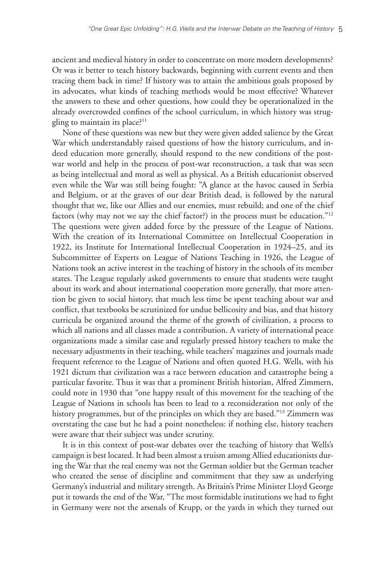ancient and medieval history in order to concentrate on more modern developments? Or was it better to teach history backwards, beginning with current events and then tracing them back in time? If history was to attain the ambitious goals proposed by its advocates, what kinds of teaching methods would be most effective? Whatever the answers to these and other questions, how could they be operationalized in the already overcrowded confines of the school curriculum, in which history was struggling to maintain its place?<sup>11</sup>

None of these questions was new but they were given added salience by the Great War which understandably raised questions of how the history curriculum, and indeed education more generally, should respond to the new conditions of the postwar world and help in the process of post-war reconstruction, a task that was seen as being intellectual and moral as well as physical. As a British educationist observed even while the War was still being fought: "A glance at the havoc caused in Serbia and Belgium, or at the graves of our dear British dead, is followed by the natural thought that we, like our Allies and our enemies, must rebuild; and one of the chief factors (why may not we say the chief factor?) in the process must be education."12 The questions were given added force by the pressure of the League of Nations. With the creation of its International Committee on Intellectual Cooperation in 1922, its Institute for International Intellectual Cooperation in 1924–25, and its Subcommittee of Experts on League of Nations Teaching in 1926, the League of Nations took an active interest in the teaching of history in the schools of its member states. The League regularly asked governments to ensure that students were taught about its work and about international cooperation more generally, that more attention be given to social history, that much less time be spent teaching about war and conflict, that textbooks be scrutinized for undue bellicosity and bias, and that history curricula be organized around the theme of the growth of civilization, a process to which all nations and all classes made a contribution. A variety of international peace organizations made a similar case and regularly pressed history teachers to make the necessary adjustments in their teaching, while teachers' magazines and journals made frequent reference to the League of Nations and often quoted H.G. Wells, with his 1921 dictum that civilization was a race between education and catastrophe being a particular favorite. Thus it was that a prominent British historian, Alfred Zimmern, could note in 1930 that "one happy result of this movement for the teaching of the League of Nations in schools has been to lead to a reconsideration not only of the history programmes, but of the principles on which they are based."<sup>13</sup> Zimmern was overstating the case but he had a point nonetheless: if nothing else, history teachers were aware that their subject was under scrutiny.

It is in this context of post-war debates over the teaching of history that Wells's campaign is best located. It had been almost a truism among Allied educationists during the War that the real enemy was not the German soldier but the German teacher who created the sense of discipline and commitment that they saw as underlying Germany's industrial and military strength. As Britain's Prime Minister Lloyd George put it towards the end of the War, "The most formidable institutions we had to fight in Germany were not the arsenals of Krupp, or the yards in which they turned out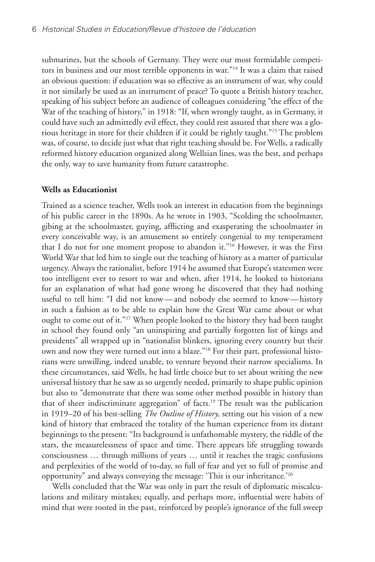submarines, but the schools of Germany. They were our most formidable competitors in business and our most terrible opponents in war."<sup>14</sup> It was a claim that raised an obvious question: if education was so effective as an instrument of war, why could it not similarly be used as an instrument of peace? To quote a British history teacher, speaking of his subject before an audience of colleagues considering "the effect of the War of the teaching of history," in 1918: "If, when wrongly taught, as in Germany, it could have such an admittedly evil effect, they could rest assured that there was a glorious heritage in store for their children if it could be rightly taught."15 The problem was, of course, to decide just what that right teaching should be. For Wells, a radically reformed history education organized along Wellsian lines, was the best, and perhaps the only, way to save humanity from future catastrophe.

#### **Wells as Educationist**

Trained as a science teacher, Wells took an interest in education from the beginnings of his public career in the 1890s. As he wrote in 1903, "Scolding the schoolmaster, gibing at the schoolmaster, guying, afflicting and exasperating the schoolmaster in every conceivable way, is an amusement so entirely congenial to my temperament that I do not for one moment propose to abandon it."16 However, it was the First World War that led him to single out the teaching of history as a matter of particular urgency. Always the rationalist, before 1914 he assumed that Europe's statesmen were too intelligent ever to resort to war and when, after 1914, he looked to historians for an explanation of what had gone wrong he discovered that they had nothing useful to tell him: "I did not know—and nobody else seemed to know—history in such a fashion as to be able to explain how the Great War came about or what ought to come out of it."17 When people looked to the history they had been taught in school they found only "an uninspiring and partially forgotten list of kings and presidents" all wrapped up in "nationalist blinkers, ignoring every country but their own and now they were turned out into a blaze."18 For their part, professional historians were unwilling, indeed unable, to venture beyond their narrow specialisms. In these circumstances, said Wells, he had little choice but to set about writing the new universal history that he saw as so urgently needed, primarily to shape public opinion but also to "demonstrate that there was some other method possible in history than that of sheer indiscriminate aggregation" of facts.19 The result was the publication in 1919–20 of his best-selling *The Outline of History*, setting out his vision of a new kind of history that embraced the totality of the human experience from its distant beginnings to the present: "Its background is unfathomable mystery, the riddle of the stars, the measurelessness of space and time. There appears life struggling towards consciousness … through millions of years … until it reaches the tragic confusions and perplexities of the world of to-day, so full of fear and yet so full of promise and opportunity" and always conveying the message: 'This is our inheritance.'20

Wells concluded that the War was only in part the result of diplomatic miscalculations and military mistakes; equally, and perhaps more, influential were habits of mind that were rooted in the past, reinforced by people's ignorance of the full sweep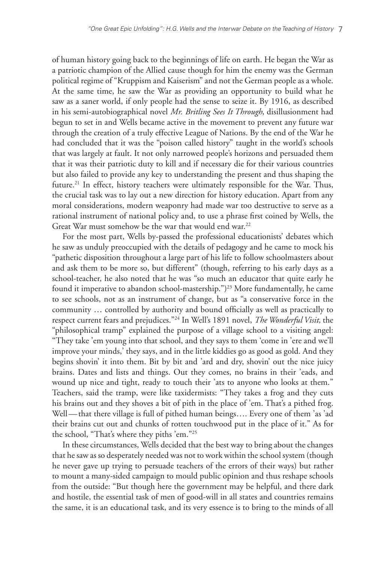of human history going back to the beginnings of life on earth. He began the War as a patriotic champion of the Allied cause though for him the enemy was the German political regime of "Kruppism and Kaiserism" and not the German people as a whole. At the same time, he saw the War as providing an opportunity to build what he saw as a saner world, if only people had the sense to seize it. By 1916, as described in his semi-autobiographical novel *Mr. Britling Sees It Through*, disillusionment had begun to set in and Wells became active in the movement to prevent any future war through the creation of a truly effective League of Nations. By the end of the War he had concluded that it was the "poison called history" taught in the world's schools that was largely at fault. It not only narrowed people's horizons and persuaded them that it was their patriotic duty to kill and if necessary die for their various countries but also failed to provide any key to understanding the present and thus shaping the future.<sup>21</sup> In effect, history teachers were ultimately responsible for the War. Thus, the crucial task was to lay out a new direction for history education. Apart from any moral considerations, modern weaponry had made war too destructive to serve as a rational instrument of national policy and, to use a phrase first coined by Wells, the Great War must somehow be the war that would end war.<sup>22</sup>

For the most part, Wells by-passed the professional educationists' debates which he saw as unduly preoccupied with the details of pedagogy and he came to mock his "pathetic disposition throughout a large part of his life to follow schoolmasters about and ask them to be more so, but different" (though, referring to his early days as a school-teacher, he also noted that he was "so much an educator that quite early he found it imperative to abandon school-mastership.")<sup>23</sup> More fundamentally, he came to see schools, not as an instrument of change, but as "a conservative force in the community … controlled by authority and bound officially as well as practically to respect current fears and prejudices."24 In Well's 1891 novel, *The Wonderful Visit,* the "philosophical tramp" explained the purpose of a village school to a visiting angel: "They take 'em young into that school, and they says to them 'come in 'ere and we'll improve your minds,' they says, and in the little kiddies go as good as gold. And they begins shovin' it into them. Bit by bit and 'ard and dry, shovin' out the nice juicy brains. Dates and lists and things. Out they comes, no brains in their 'eads, and wound up nice and tight, ready to touch their 'ats to anyone who looks at them." Teachers, said the tramp, were like taxidermists: "They takes a frog and they cuts his brains out and they shoves a bit of pith in the place of 'em. That's a pithed frog. Well—that there village is full of pithed human beings.... Every one of them 'as 'ad their brains cut out and chunks of rotten touchwood put in the place of it." As for the school, "That's where they piths 'em."25

In these circumstances, Wells decided that the best way to bring about the changes that he saw as so desperately needed was not to work within the school system (though he never gave up trying to persuade teachers of the errors of their ways) but rather to mount a many-sided campaign to mould public opinion and thus reshape schools from the outside: "But though here the government may be helpful, and there dark and hostile, the essential task of men of good-will in all states and countries remains the same, it is an educational task, and its very essence is to bring to the minds of all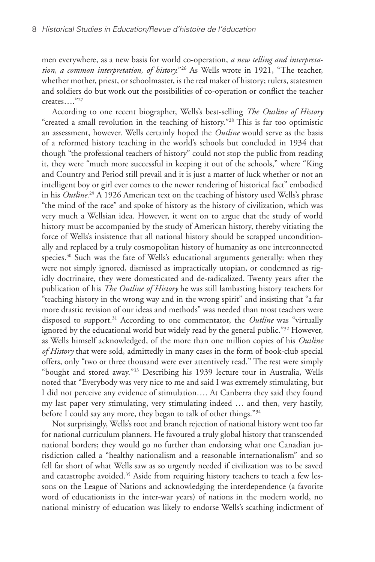men everywhere, as a new basis for world co-operation, *a new telling and interpretation, a common interpretation, of history.*"26 As Wells wrote in 1921, "The teacher, whether mother, priest, or schoolmaster, is the real maker of history; rulers, statesmen and soldiers do but work out the possibilities of co-operation or conflict the teacher creates…."27

According to one recent biographer, Wells's best-selling *The Outline of History* "created a small revolution in the teaching of history."28 This is far too optimistic an assessment, however. Wells certainly hoped the *Outline* would serve as the basis of a reformed history teaching in the world's schools but concluded in 1934 that though "the professional teachers of history" could not stop the public from reading it, they were "much more successful in keeping it out of the schools," where "King and Country and Period still prevail and it is just a matter of luck whether or not an intelligent boy or girl ever comes to the newer rendering of historical fact" embodied in his *Outline.*29 A 1926 American text on the teaching of history used Wells's phrase "the mind of the race" and spoke of history as the history of civilization, which was very much a Wellsian idea. However, it went on to argue that the study of world history must be accompanied by the study of American history, thereby vitiating the force of Wells's insistence that all national history should be scrapped unconditionally and replaced by a truly cosmopolitan history of humanity as one interconnected species.<sup>30</sup> Such was the fate of Wells's educational arguments generally: when they were not simply ignored, dismissed as impractically utopian, or condemned as rigidly doctrinaire, they were domesticated and de-radicalized. Twenty years after the publication of his *The Outline of History* he was still lambasting history teachers for "teaching history in the wrong way and in the wrong spirit" and insisting that "a far more drastic revision of our ideas and methods" was needed than most teachers were disposed to support.<sup>31</sup> According to one commentator, the *Outline* was "virtually ignored by the educational world but widely read by the general public."<sup>32</sup> However, as Wells himself acknowledged, of the more than one million copies of his *Outline of History* that were sold, admittedly in many cases in the form of book-club special offers, only "two or three thousand were ever attentively read." The rest were simply "bought and stored away."33 Describing his 1939 lecture tour in Australia, Wells noted that "Everybody was very nice to me and said I was extremely stimulating, but I did not perceive any evidence of stimulation…. At Canberra they said they found my last paper very stimulating, very stimulating indeed … and then, very hastily, before I could say any more, they began to talk of other things."34

Not surprisingly, Wells's root and branch rejection of national history went too far for national curriculum planners. He favoured a truly global history that transcended national borders; they would go no further than endorsing what one Canadian jurisdiction called a "healthy nationalism and a reasonable internationalism" and so fell far short of what Wells saw as so urgently needed if civilization was to be saved and catastrophe avoided.<sup>35</sup> Aside from requiring history teachers to teach a few lessons on the League of Nations and acknowledging the interdependence (a favorite word of educationists in the inter-war years) of nations in the modern world, no national ministry of education was likely to endorse Wells's scathing indictment of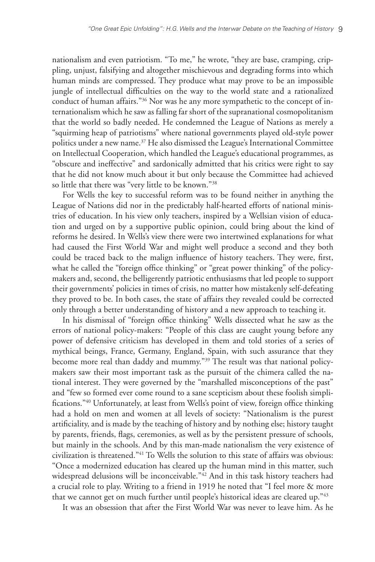nationalism and even patriotism. "To me," he wrote, "they are base, cramping, crippling, unjust, falsifying and altogether mischievous and degrading forms into which human minds are compressed. They produce what may prove to be an impossible jungle of intellectual difficulties on the way to the world state and a rationalized conduct of human affairs."36 Nor was he any more sympathetic to the concept of internationalism which he saw as falling far short of the supranational cosmopolitanism that the world so badly needed. He condemned the League of Nations as merely a "squirming heap of patriotisms" where national governments played old-style power politics under a new name.<sup>37</sup> He also dismissed the League's International Committee on Intellectual Cooperation, which handled the League's educational programmes, as "obscure and ineffective" and sardonically admitted that his critics were right to say that he did not know much about it but only because the Committee had achieved so little that there was "very little to be known."38

For Wells the key to successful reform was to be found neither in anything the League of Nations did nor in the predictably half-hearted efforts of national ministries of education. In his view only teachers, inspired by a Wellsian vision of education and urged on by a supportive public opinion, could bring about the kind of reforms he desired. In Wells's view there were two intertwined explanations for what had caused the First World War and might well produce a second and they both could be traced back to the malign influence of history teachers. They were, first, what he called the "foreign office thinking" or "great power thinking" of the policymakers and, second, the belligerently patriotic enthusiasms that led people to support their governments' policies in times of crisis, no matter how mistakenly self-defeating they proved to be. In both cases, the state of affairs they revealed could be corrected only through a better understanding of history and a new approach to teaching it.

In his dismissal of "foreign office thinking" Wells dissected what he saw as the errors of national policy-makers: "People of this class are caught young before any power of defensive criticism has developed in them and told stories of a series of mythical beings, France, Germany, England, Spain, with such assurance that they become more real than daddy and mummy."39 The result was that national policymakers saw their most important task as the pursuit of the chimera called the national interest. They were governed by the "marshalled misconceptions of the past" and "few so formed ever come round to a sane scepticism about these foolish simplifications."<sup>40</sup> Unfortunately, at least from Wells's point of view, foreign office thinking had a hold on men and women at all levels of society: "Nationalism is the purest artificiality, and is made by the teaching of history and by nothing else; history taught by parents, friends, flags, ceremonies, as well as by the persistent pressure of schools, but mainly in the schools. And by this man-made nationalism the very existence of civilization is threatened."41 To Wells the solution to this state of affairs was obvious: "Once a modernized education has cleared up the human mind in this matter, such widespread delusions will be inconceivable."42 And in this task history teachers had a crucial role to play. Writing to a friend in 1919 he noted that "I feel more & more that we cannot get on much further until people's historical ideas are cleared up."43

It was an obsession that after the First World War was never to leave him. As he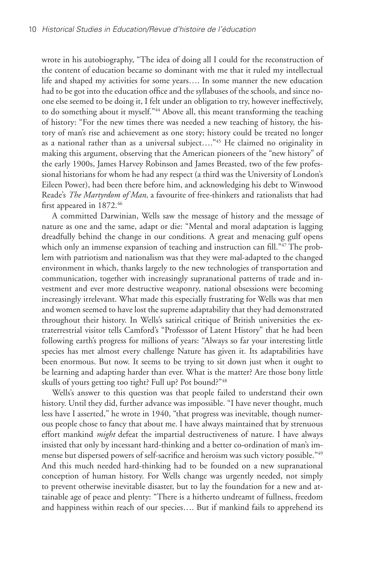wrote in his autobiography, "The idea of doing all I could for the reconstruction of the content of education became so dominant with me that it ruled my intellectual life and shaped my activities for some years…. In some manner the new education had to be got into the education office and the syllabuses of the schools, and since noone else seemed to be doing it, I felt under an obligation to try, however ineffectively, to do something about it myself."<sup>44</sup> Above all, this meant transforming the teaching of history: "For the new times there was needed a new teaching of history, the history of man's rise and achievement as one story; history could be treated no longer as a national rather than as a universal subject…."45 He claimed no originality in making this argument, observing that the American pioneers of the "new history" of the early 1900s, James Harvey Robinson and James Breasted, two of the few professional historians for whom he had any respect (a third was the University of London's Eileen Power), had been there before him, and acknowledging his debt to Winwood Reade's *The Martyrdom of Man,* a favourite of free-thinkers and rationalists that had first appeared in 1872.46

A committed Darwinian, Wells saw the message of history and the message of nature as one and the same, adapt or die: "Mental and moral adaptation is lagging dreadfully behind the change in our conditions. A great and menacing gulf opens which only an immense expansion of teaching and instruction can fill."<sup>47</sup> The problem with patriotism and nationalism was that they were mal-adapted to the changed environment in which, thanks largely to the new technologies of transportation and communication, together with increasingly supranational patterns of trade and investment and ever more destructive weaponry, national obsessions were becoming increasingly irrelevant. What made this especially frustrating for Wells was that men and women seemed to have lost the supreme adaptability that they had demonstrated throughout their history. In Wells's satirical critique of British universities the extraterrestrial visitor tells Camford's "Professsor of Latent History" that he had been following earth's progress for millions of years: "Always so far your interesting little species has met almost every challenge Nature has given it. Its adaptabilities have been enormous. But now. It seems to be trying to sit down just when it ought to be learning and adapting harder than ever. What is the matter? Are those bony little skulls of yours getting too tight? Full up? Pot bound?"48

Wells's answer to this question was that people failed to understand their own history. Until they did, further advance was impossible. "I have never thought, much less have I asserted," he wrote in 1940, "that progress was inevitable, though numerous people chose to fancy that about me. I have always maintained that by strenuous effort mankind *might* defeat the impartial destructiveness of nature. I have always insisted that only by incessant hard-thinking and a better co-ordination of man's immense but dispersed powers of self-sacrifice and heroism was such victory possible."49 And this much needed hard-thinking had to be founded on a new supranational conception of human history. For Wells change was urgently needed, not simply to prevent otherwise inevitable disaster, but to lay the foundation for a new and attainable age of peace and plenty: "There is a hitherto undreamt of fullness, freedom and happiness within reach of our species…. But if mankind fails to apprehend its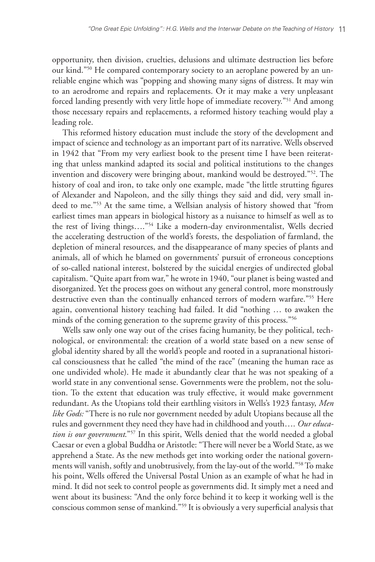opportunity, then division, cruelties, delusions and ultimate destruction lies before our kind."<sup>50</sup> He compared contemporary society to an aeroplane powered by an unreliable engine which was "popping and showing many signs of distress. It may win to an aerodrome and repairs and replacements. Or it may make a very unpleasant forced landing presently with very little hope of immediate recovery."51 And among those necessary repairs and replacements, a reformed history teaching would play a leading role.

This reformed history education must include the story of the development and impact of science and technology as an important part of its narrative. Wells observed in 1942 that "From my very earliest book to the present time I have been reiterating that unless mankind adapted its social and political institutions to the changes invention and discovery were bringing about, mankind would be destroyed."52. The history of coal and iron, to take only one example, made "the little strutting figures of Alexander and Napoleon, and the silly things they said and did, very small indeed to me."53 At the same time, a Wellsian analysis of history showed that "from earliest times man appears in biological history as a nuisance to himself as well as to the rest of living things…."54 Like a modern-day environmentalist, Wells decried the accelerating destruction of the world's forests, the despoliation of farmland, the depletion of mineral resources, and the disappearance of many species of plants and animals, all of which he blamed on governments' pursuit of erroneous conceptions of so-called national interest, bolstered by the suicidal energies of undirected global capitalism. "Quite apart from war," he wrote in 1940, "our planet is being wasted and disorganized. Yet the process goes on without any general control, more monstrously destructive even than the continually enhanced terrors of modern warfare."55 Here again, conventional history teaching had failed. It did "nothing … to awaken the minds of the coming generation to the supreme gravity of this process."<sup>56</sup>

Wells saw only one way out of the crises facing humanity, be they political, technological, or environmental: the creation of a world state based on a new sense of global identity shared by all the world's people and rooted in a supranational historical consciousness that he called "the mind of the race" (meaning the human race as one undivided whole). He made it abundantly clear that he was not speaking of a world state in any conventional sense. Governments were the problem, not the solution. To the extent that education was truly effective, it would make government redundant. As the Utopians told their earthling visitors in Wells's 1923 fantasy, *Men like Gods:* "There is no rule nor government needed by adult Utopians because all the rules and government they need they have had in childhood and youth…. *Our education is our government*."57 In this spirit, Wells denied that the world needed a global Caesar or even a global Buddha or Aristotle: "There will never be a World State, as we apprehend a State. As the new methods get into working order the national governments will vanish, softly and unobtrusively, from the lay-out of the world."58 To make his point, Wells offered the Universal Postal Union as an example of what he had in mind. It did not seek to control people as governments did. It simply met a need and went about its business: "And the only force behind it to keep it working well is the conscious common sense of mankind."59 It is obviously a very superficial analysis that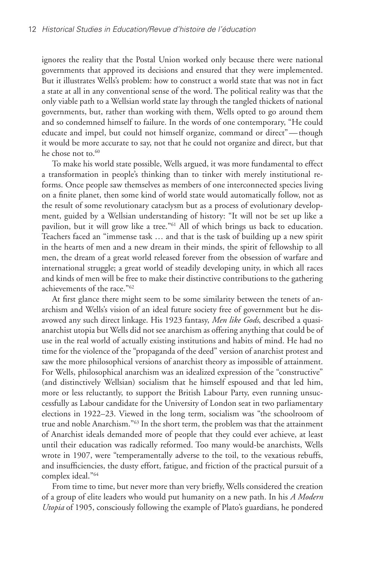ignores the reality that the Postal Union worked only because there were national governments that approved its decisions and ensured that they were implemented. But it illustrates Wells's problem: how to construct a world state that was not in fact a state at all in any conventional sense of the word. The political reality was that the only viable path to a Wellsian world state lay through the tangled thickets of national governments, but, rather than working with them, Wells opted to go around them and so condemned himself to failure. In the words of one contemporary, "He could educate and impel, but could not himself organize, command or direct"—though it would be more accurate to say, not that he could not organize and direct, but that he chose not to.<sup>60</sup>

To make his world state possible, Wells argued, it was more fundamental to effect a transformation in people's thinking than to tinker with merely institutional reforms. Once people saw themselves as members of one interconnected species living on a finite planet, then some kind of world state would automatically follow, not as the result of some revolutionary cataclysm but as a process of evolutionary development, guided by a Wellsian understanding of history: "It will not be set up like a pavilion, but it will grow like a tree."61 All of which brings us back to education. Teachers faced an "immense task … and that is the task of building up a new spirit in the hearts of men and a new dream in their minds, the spirit of fellowship to all men, the dream of a great world released forever from the obsession of warfare and international struggle; a great world of steadily developing unity, in which all races and kinds of men will be free to make their distinctive contributions to the gathering achievements of the race."62

At first glance there might seem to be some similarity between the tenets of anarchism and Wells's vision of an ideal future society free of government but he disavowed any such direct linkage. His 1923 fantasy, *Men like Gods*, described a quasianarchist utopia but Wells did not see anarchism as offering anything that could be of use in the real world of actually existing institutions and habits of mind. He had no time for the violence of the "propaganda of the deed" version of anarchist protest and saw the more philosophical versions of anarchist theory as impossible of attainment. For Wells, philosophical anarchism was an idealized expression of the "constructive" (and distinctively Wellsian) socialism that he himself espoused and that led him, more or less reluctantly, to support the British Labour Party, even running unsuccessfully as Labour candidate for the University of London seat in two parliamentary elections in 1922–23. Viewed in the long term, socialism was "the schoolroom of true and noble Anarchism."63 In the short term, the problem was that the attainment of Anarchist ideals demanded more of people that they could ever achieve, at least until their education was radically reformed. Too many would-be anarchists, Wells wrote in 1907, were "temperamentally adverse to the toil, to the vexatious rebuffs, and insufficiencies, the dusty effort, fatigue, and friction of the practical pursuit of a complex ideal."64

From time to time, but never more than very briefly, Wells considered the creation of a group of elite leaders who would put humanity on a new path. In his *A Modern Utopia* of 1905, consciously following the example of Plato's guardians, he pondered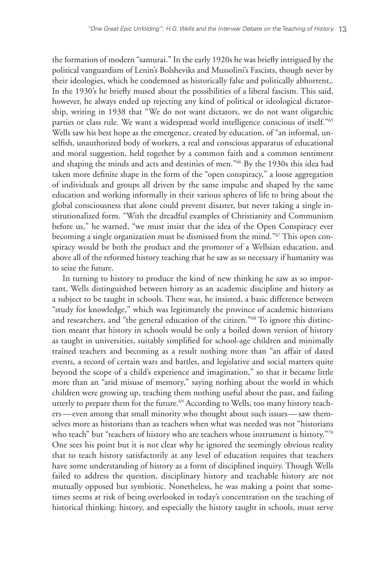the formation of modern "samurai." In the early 1920s he was briefly intrigued by the political vanguardism of Lenin's Bolsheviks and Mussolini's Fascists, though never by their ideologies, which he condemned as historically false and politically abhorrent,. In the 1930's he briefly mused about the possibilities of a liberal fascism. This said, however, he always ended up rejecting any kind of political or ideological dictatorship, writing in 1938 that "We do not want dictators, we do not want oligarchic parties or class rule. We want a widespread world intelligence conscious of itself."65 Wells saw his best hope as the emergence, created by education, of "an informal, unselfish, unauthorized body of workers, a real and conscious apparatus of educational and moral suggestion, held together by a common faith and a common sentiment and shaping the minds and acts and destinies of men."66 By the 1930s this idea had taken more definite shape in the form of the "open conspiracy," a loose aggregation of individuals and groups all driven by the same impulse and shaped by the same education and working informally in their various spheres of life to bring about the global consciousness that alone could prevent disaster, but never taking a single institutionalized form. "With the dreadful examples of Christianity and Communism before us," he warned, "we must insist that the idea of the Open Conspiracy ever becoming a single organization must be dismissed from the mind."67 This open conspiracy would be both the product and the promoter of a Wellsian education, and above all of the reformed history teaching that he saw as so necessary if humanity was to seize the future.

In turning to history to produce the kind of new thinking he saw as so important, Wells distinguished between history as an academic discipline and history as a subject to be taught in schools. There was, he insisted, a basic difference between "study for knowledge," which was legitimately the province of academic historians and researchers, and "the general education of the citizen."68 To ignore this distinction meant that history in schools would be only a boiled down version of history as taught in universities, suitably simplified for school-age children and minimally trained teachers and becoming as a result nothing more than "an affair of dated events, a record of certain wars and battles, and legislative and social matters quite beyond the scope of a child's experience and imagination," so that it became little more than an "arid misuse of memory," saying nothing about the world in which children were growing up, teaching them nothing useful about the past, and failing utterly to prepare them for the future.<sup>69</sup> According to Wells, too many history teachers—even among that small minority who thought about such issues—saw themselves more as historians than as teachers when what was needed was not "historians who teach" but "teachers of history who are teachers whose instrument is history."70 One sees his point but it is not clear why he ignored the seemingly obvious reality that to teach history satisfactorily at any level of education requires that teachers have some understanding of history as a form of disciplined inquiry. Though Wells failed to address the question, disciplinary history and teachable history are not mutually opposed but symbiotic. Nonetheless, he was making a point that sometimes seems at risk of being overlooked in today's concentration on the teaching of historical thinking: history, and especially the history taught in schools, must serve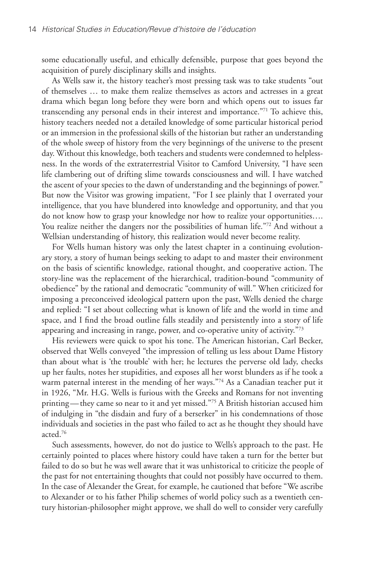some educationally useful, and ethically defensible, purpose that goes beyond the acquisition of purely disciplinary skills and insights.

As Wells saw it, the history teacher's most pressing task was to take students "out of themselves … to make them realize themselves as actors and actresses in a great drama which began long before they were born and which opens out to issues far transcending any personal ends in their interest and importance."71 To achieve this, history teachers needed not a detailed knowledge of some particular historical period or an immersion in the professional skills of the historian but rather an understanding of the whole sweep of history from the very beginnings of the universe to the present day. Without this knowledge, both teachers and students were condemned to helplessness. In the words of the extraterrestrial Visitor to Camford University, "I have seen life clambering out of drifting slime towards consciousness and will. I have watched the ascent of your species to the dawn of understanding and the beginnings of power." But now the Visitor was growing impatient, "For I see plainly that I overrated your intelligence, that you have blundered into knowledge and opportunity, and that you do not know how to grasp your knowledge nor how to realize your opportunities…. You realize neither the dangers nor the possibilities of human life."<sup>72</sup> And without a Wellsian understanding of history, this realization would never become reality.

For Wells human history was only the latest chapter in a continuing evolutionary story, a story of human beings seeking to adapt to and master their environment on the basis of scientific knowledge, rational thought, and cooperative action. The story-line was the replacement of the hierarchical, tradition-bound "community of obedience" by the rational and democratic "community of will." When criticized for imposing a preconceived ideological pattern upon the past, Wells denied the charge and replied: "I set about collecting what is known of life and the world in time and space, and I find the broad outline falls steadily and persistently into a story of life appearing and increasing in range, power, and co-operative unity of activity."73

His reviewers were quick to spot his tone. The American historian, Carl Becker, observed that Wells conveyed "the impression of telling us less about Dame History than about what is 'the trouble' with her; he lectures the perverse old lady, checks up her faults, notes her stupidities, and exposes all her worst blunders as if he took a warm paternal interest in the mending of her ways."74 As a Canadian teacher put it in 1926, "Mr. H.G. Wells is furious with the Greeks and Romans for not inventing printing—they came so near to it and yet missed."75 A British historian accused him of indulging in "the disdain and fury of a berserker" in his condemnations of those individuals and societies in the past who failed to act as he thought they should have acted.76

Such assessments, however, do not do justice to Wells's approach to the past. He certainly pointed to places where history could have taken a turn for the better but failed to do so but he was well aware that it was unhistorical to criticize the people of the past for not entertaining thoughts that could not possibly have occurred to them. In the case of Alexander the Great, for example, he cautioned that before "We ascribe to Alexander or to his father Philip schemes of world policy such as a twentieth century historian-philosopher might approve, we shall do well to consider very carefully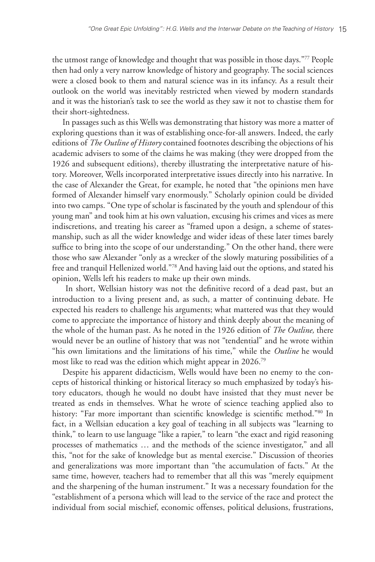the utmost range of knowledge and thought that was possible in those days."77 People then had only a very narrow knowledge of history and geography. The social sciences were a closed book to them and natural science was in its infancy. As a result their outlook on the world was inevitably restricted when viewed by modern standards and it was the historian's task to see the world as they saw it not to chastise them for their short-sightedness.

In passages such as this Wells was demonstrating that history was more a matter of exploring questions than it was of establishing once-for-all answers. Indeed, the early editions of *The Outline of History* contained footnotes describing the objections of his academic advisers to some of the claims he was making (they were dropped from the 1926 and subsequent editions), thereby illustrating the interpretative nature of history. Moreover, Wells incorporated interpretative issues directly into his narrative. In the case of Alexander the Great, for example, he noted that "the opinions men have formed of Alexander himself vary enormously." Scholarly opinion could be divided into two camps. "One type of scholar is fascinated by the youth and splendour of this young man" and took him at his own valuation, excusing his crimes and vices as mere indiscretions, and treating his career as "framed upon a design, a scheme of statesmanship, such as all the wider knowledge and wider ideas of these later times barely suffice to bring into the scope of our understanding." On the other hand, there were those who saw Alexander "only as a wrecker of the slowly maturing possibilities of a free and tranquil Hellenized world."78 And having laid out the options, and stated his opinion, Wells left his readers to make up their own minds.

In short, Wellsian history was not the definitive record of a dead past, but an introduction to a living present and, as such, a matter of continuing debate. He expected his readers to challenge his arguments; what mattered was that they would come to appreciate the importance of history and think deeply about the meaning of the whole of the human past. As he noted in the 1926 edition of *The Outline,* there would never be an outline of history that was not "tendential" and he wrote within "his own limitations and the limitations of his time," while the *Outline* he would most like to read was the edition which might appear in 2026.79

Despite his apparent didacticism, Wells would have been no enemy to the concepts of historical thinking or historical literacy so much emphasized by today's history educators, though he would no doubt have insisted that they must never be treated as ends in themselves. What he wrote of science teaching applied also to history: "Far more important than scientific knowledge is scientific method."80 In fact, in a Wellsian education a key goal of teaching in all subjects was "learning to think," to learn to use language "like a rapier," to learn "the exact and rigid reasoning processes of mathematics … and the methods of the science investigator," and all this, "not for the sake of knowledge but as mental exercise." Discussion of theories and generalizations was more important than "the accumulation of facts." At the same time, however, teachers had to remember that all this was "merely equipment and the sharpening of the human instrument." It was a necessary foundation for the "establishment of a persona which will lead to the service of the race and protect the individual from social mischief, economic offenses, political delusions, frustrations,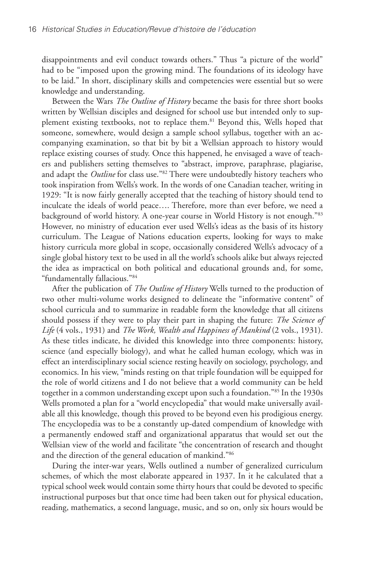disappointments and evil conduct towards others." Thus "a picture of the world" had to be "imposed upon the growing mind. The foundations of its ideology have to be laid." In short, disciplinary skills and competencies were essential but so were knowledge and understanding.

Between the Wars *The Outline of History* became the basis for three short books written by Wellsian disciples and designed for school use but intended only to supplement existing textbooks, not to replace them.<sup>81</sup> Beyond this, Wells hoped that someone, somewhere, would design a sample school syllabus, together with an accompanying examination, so that bit by bit a Wellsian approach to history would replace existing courses of study. Once this happened, he envisaged a wave of teachers and publishers setting themselves to "abstract, improve, paraphrase, plagiarise, and adapt the *Outline* for class use."82 There were undoubtedly history teachers who took inspiration from Wells's work. In the words of one Canadian teacher, writing in 1929: "It is now fairly generally accepted that the teaching of history should tend to inculcate the ideals of world peace…. Therefore, more than ever before, we need a background of world history. A one-year course in World History is not enough."83 However, no ministry of education ever used Wells's ideas as the basis of its history curriculum. The League of Nations education experts, looking for ways to make history curricula more global in scope, occasionally considered Wells's advocacy of a single global history text to be used in all the world's schools alike but always rejected the idea as impractical on both political and educational grounds and, for some, "fundamentally fallacious."84

After the publication of *The Outline of History* Wells turned to the production of two other multi-volume works designed to delineate the "informative content" of school curricula and to summarize in readable form the knowledge that all citizens should possess if they were to play their part in shaping the future: *The Science of Life* (4 vols., 1931) and *The Work, Wealth and Happiness of Mankind* (2 vols., 1931). As these titles indicate, he divided this knowledge into three components: history, science (and especially biology), and what he called human ecology, which was in effect an interdisciplinary social science resting heavily on sociology, psychology, and economics. In his view, "minds resting on that triple foundation will be equipped for the role of world citizens and I do not believe that a world community can be held together in a common understanding except upon such a foundation."85 In the 1930s Wells promoted a plan for a "world encyclopedia" that would make universally available all this knowledge, though this proved to be beyond even his prodigious energy. The encyclopedia was to be a constantly up-dated compendium of knowledge with a permanently endowed staff and organizational apparatus that would set out the Wellsian view of the world and facilitate "the concentration of research and thought and the direction of the general education of mankind."86

During the inter-war years, Wells outlined a number of generalized curriculum schemes, of which the most elaborate appeared in 1937. In it he calculated that a typical school week would contain some thirty hours that could be devoted to specific instructional purposes but that once time had been taken out for physical education, reading, mathematics, a second language, music, and so on, only six hours would be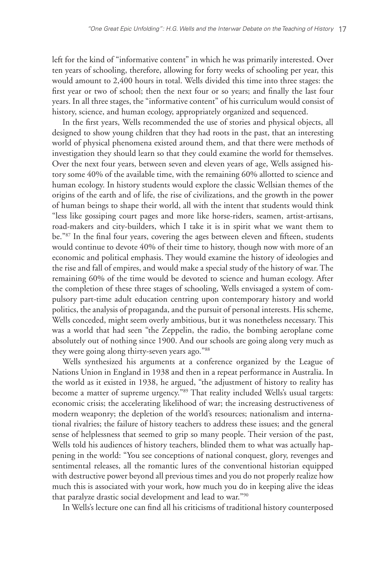left for the kind of "informative content" in which he was primarily interested. Over ten years of schooling, therefore, allowing for forty weeks of schooling per year, this would amount to 2,400 hours in total. Wells divided this time into three stages: the first year or two of school; then the next four or so years; and finally the last four years. In all three stages, the "informative content" of his curriculum would consist of history, science, and human ecology, appropriately organized and sequenced.

In the first years, Wells recommended the use of stories and physical objects, all designed to show young children that they had roots in the past, that an interesting world of physical phenomena existed around them, and that there were methods of investigation they should learn so that they could examine the world for themselves. Over the next four years, between seven and eleven years of age, Wells assigned history some 40% of the available time, with the remaining 60% allotted to science and human ecology. In history students would explore the classic Wellsian themes of the origins of the earth and of life, the rise of civilizations, and the growth in the power of human beings to shape their world, all with the intent that students would think "less like gossiping court pages and more like horse-riders, seamen, artist-artisans, road-makers and city-builders, which I take it is in spirit what we want them to be."87 In the final four years, covering the ages between eleven and fifteen, students would continue to devote 40% of their time to history, though now with more of an economic and political emphasis. They would examine the history of ideologies and the rise and fall of empires, and would make a special study of the history of war. The remaining 60% of the time would be devoted to science and human ecology. After the completion of these three stages of schooling, Wells envisaged a system of compulsory part-time adult education centring upon contemporary history and world politics, the analysis of propaganda, and the pursuit of personal interests. His scheme, Wells conceded, might seem overly ambitious, but it was nonetheless necessary. This was a world that had seen "the Zeppelin, the radio, the bombing aeroplane come absolutely out of nothing since 1900. And our schools are going along very much as they were going along thirty-seven years ago."88

Wells synthesized his arguments at a conference organized by the League of Nations Union in England in 1938 and then in a repeat performance in Australia. In the world as it existed in 1938, he argued, "the adjustment of history to reality has become a matter of supreme urgency."89 That reality included Wells's usual targets: economic crisis; the accelerating likelihood of war; the increasing destructiveness of modern weaponry; the depletion of the world's resources; nationalism and international rivalries; the failure of history teachers to address these issues; and the general sense of helplessness that seemed to grip so many people. Their version of the past, Wells told his audiences of history teachers, blinded them to what was actually happening in the world: "You see conceptions of national conquest, glory, revenges and sentimental releases, all the romantic lures of the conventional historian equipped with destructive power beyond all previous times and you do not properly realize how much this is associated with your work, how much you do in keeping alive the ideas that paralyze drastic social development and lead to war."90

In Wells's lecture one can find all his criticisms of traditional history counterposed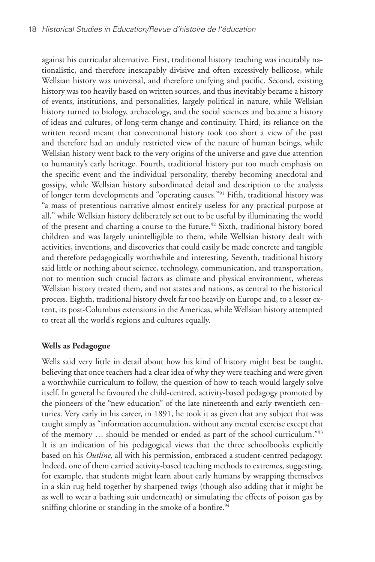against his curricular alternative. First, traditional history teaching was incurably nationalistic, and therefore inescapably divisive and often excessively bellicose, while Wellsian history was universal, and therefore unifying and pacific. Second, existing history was too heavily based on written sources, and thus inevitably became a history of events, institutions, and personalities, largely political in nature, while Wellsian history turned to biology, archaeology, and the social sciences and became a history of ideas and cultures, of long-term change and continuity. Third, its reliance on the written record meant that conventional history took too short a view of the past and therefore had an unduly restricted view of the nature of human beings, while Wellsian history went back to the very origins of the universe and gave due attention to humanity's early heritage. Fourth, traditional history put too much emphasis on the specific event and the individual personality, thereby becoming anecdotal and gossipy, while Wellsian history subordinated detail and description to the analysis of longer term developments and "operating causes."91 Fifth, traditional history was "a mass of pretentious narrative almost entirely useless for any practical purpose at all," while Wellsian history deliberately set out to be useful by illuminating the world of the present and charting a course to the future.<sup>92</sup> Sixth, traditional history bored children and was largely unintelligible to them, while Wellsian history dealt with activities, inventions, and discoveries that could easily be made concrete and tangible and therefore pedagogically worthwhile and interesting. Seventh, traditional history said little or nothing about science, technology, communication, and transportation, not to mention such crucial factors as climate and physical environment, whereas Wellsian history treated them, and not states and nations, as central to the historical process. Eighth, traditional history dwelt far too heavily on Europe and, to a lesser extent, its post-Columbus extensions in the Americas, while Wellsian history attempted to treat all the world's regions and cultures equally.

## **Wells as Pedagogue**

Wells said very little in detail about how his kind of history might best be taught, believing that once teachers had a clear idea of why they were teaching and were given a worthwhile curriculum to follow, the question of how to teach would largely solve itself. In general he favoured the child-centred, activity-based pedagogy promoted by the pioneers of the "new education" of the late nineteenth and early twentieth centuries. Very early in his career, in 1891, he took it as given that any subject that was taught simply as "information accumulation, without any mental exercise except that of the memory … should be mended or ended as part of the school curriculum."93 It is an indication of his pedagogical views that the three schoolbooks explicitly based on his *Outline*, all with his permission, embraced a student-centred pedagogy. Indeed, one of them carried activity-based teaching methods to extremes, suggesting, for example, that students might learn about early humans by wrapping themselves in a skin rug held together by sharpened twigs (though also adding that it might be as well to wear a bathing suit underneath) or simulating the effects of poison gas by sniffing chlorine or standing in the smoke of a bonfire.<sup>94</sup>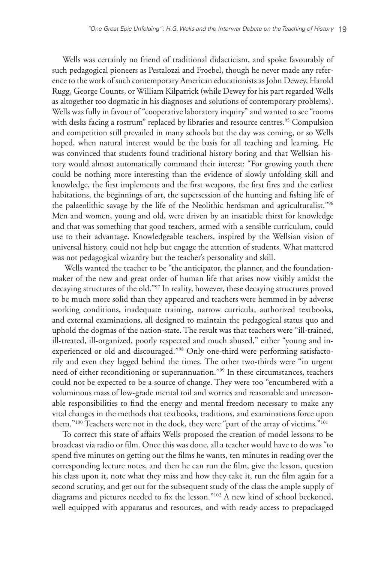Wells was certainly no friend of traditional didacticism, and spoke favourably of such pedagogical pioneers as Pestalozzi and Froebel, though he never made any reference to the work of such contemporary American educationists as John Dewey, Harold Rugg, George Counts, or William Kilpatrick (while Dewey for his part regarded Wells as altogether too dogmatic in his diagnoses and solutions of contemporary problems). Wells was fully in favour of "cooperative laboratory inquiry" and wanted to see "rooms with desks facing a rostrum" replaced by libraries and resource centres.<sup>95</sup> Compulsion and competition still prevailed in many schools but the day was coming, or so Wells hoped, when natural interest would be the basis for all teaching and learning. He was convinced that students found traditional history boring and that Wellsian history would almost automatically command their interest: "For growing youth there could be nothing more interesting than the evidence of slowly unfolding skill and knowledge, the first implements and the first weapons, the first fires and the earliest habitations, the beginnings of art, the supersession of the hunting and fishing life of the palaeolithic savage by the life of the Neolithic herdsman and agriculturalist."96 Men and women, young and old, were driven by an insatiable thirst for knowledge and that was something that good teachers, armed with a sensible curriculum, could use to their advantage. Knowledgeable teachers, inspired by the Wellsian vision of universal history, could not help but engage the attention of students. What mattered was not pedagogical wizardry but the teacher's personality and skill.

 Wells wanted the teacher to be "the anticipator, the planner, and the foundationmaker of the new and great order of human life that arises now visibly amidst the decaying structures of the old."97 In reality, however, these decaying structures proved to be much more solid than they appeared and teachers were hemmed in by adverse working conditions, inadequate training, narrow curricula, authorized textbooks, and external examinations, all designed to maintain the pedagogical status quo and uphold the dogmas of the nation-state. The result was that teachers were "ill-trained, ill-treated, ill-organized, poorly respected and much abused," either "young and inexperienced or old and discouraged."98 Only one-third were performing satisfactorily and even they lagged behind the times. The other two-thirds were "in urgent need of either reconditioning or superannuation."99 In these circumstances, teachers could not be expected to be a source of change. They were too "encumbered with a voluminous mass of low-grade mental toil and worries and reasonable and unreasonable responsibilities to find the energy and mental freedom necessary to make any vital changes in the methods that textbooks, traditions, and examinations force upon them."<sup>100</sup> Teachers were not in the dock, they were "part of the array of victims."<sup>101</sup>

To correct this state of affairs Wells proposed the creation of model lessons to be broadcast via radio or film. Once this was done, all a teacher would have to do was "to spend five minutes on getting out the films he wants, ten minutes in reading over the corresponding lecture notes, and then he can run the film, give the lesson, question his class upon it, note what they miss and how they take it, run the film again for a second scrutiny, and get out for the subsequent study of the class the ample supply of diagrams and pictures needed to fix the lesson."102 A new kind of school beckoned, well equipped with apparatus and resources, and with ready access to prepackaged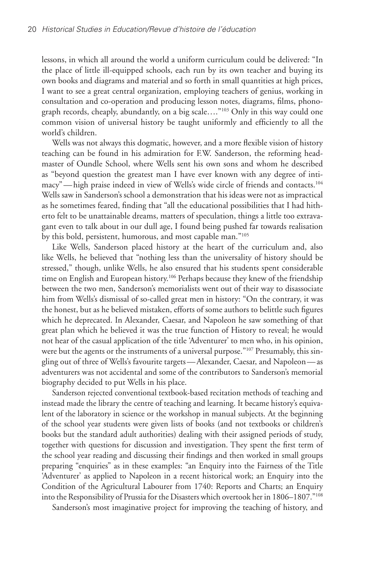lessons, in which all around the world a uniform curriculum could be delivered: "In the place of little ill-equipped schools, each run by its own teacher and buying its own books and diagrams and material and so forth in small quantities at high prices, I want to see a great central organization, employing teachers of genius, working in consultation and co-operation and producing lesson notes, diagrams, films, phonograph records, cheaply, abundantly, on a big scale…."103 Only in this way could one common vision of universal history be taught uniformly and efficiently to all the world's children.

Wells was not always this dogmatic, however, and a more flexible vision of history teaching can be found in his admiration for F.W. Sanderson, the reforming headmaster of Oundle School, where Wells sent his own sons and whom he described as "beyond question the greatest man I have ever known with any degree of intimacy"—high praise indeed in view of Wells's wide circle of friends and contacts.104 Wells saw in Sanderson's school a demonstration that his ideas were not as impractical as he sometimes feared, finding that "all the educational possibilities that I had hitherto felt to be unattainable dreams, matters of speculation, things a little too extravagant even to talk about in our dull age, I found being pushed far towards realisation by this bold, persistent, humorous, and most capable man."105

Like Wells, Sanderson placed history at the heart of the curriculum and, also like Wells, he believed that "nothing less than the universality of history should be stressed," though, unlike Wells, he also ensured that his students spent considerable time on English and European history.<sup>106</sup> Perhaps because they knew of the friendship between the two men, Sanderson's memorialists went out of their way to disassociate him from Wells's dismissal of so-called great men in history: "On the contrary, it was the honest, but as he believed mistaken, efforts of some authors to belittle such figures which he deprecated. In Alexander, Caesar, and Napoleon he saw something of that great plan which he believed it was the true function of History to reveal; he would not hear of the casual application of the title 'Adventurer' to men who, in his opinion, were but the agents or the instruments of a universal purpose."<sup>107</sup> Presumably, this singling out of three of Wells's favourite targets—Alexander, Caesar, and Napoleon—as adventurers was not accidental and some of the contributors to Sanderson's memorial biography decided to put Wells in his place.

Sanderson rejected conventional textbook-based recitation methods of teaching and instead made the library the centre of teaching and learning. It became history's equivalent of the laboratory in science or the workshop in manual subjects. At the beginning of the school year students were given lists of books (and not textbooks or children's books but the standard adult authorities) dealing with their assigned periods of study, together with questions for discussion and investigation. They spent the first term of the school year reading and discussing their findings and then worked in small groups preparing "enquiries" as in these examples: "an Enquiry into the Fairness of the Title 'Adventurer' as applied to Napoleon in a recent historical work; an Enquiry into the Condition of the Agricultural Labourer from 1740: Reports and Charts; an Enquiry into the Responsibility of Prussia for the Disasters which overtook her in 1806–1807."108

Sanderson's most imaginative project for improving the teaching of history, and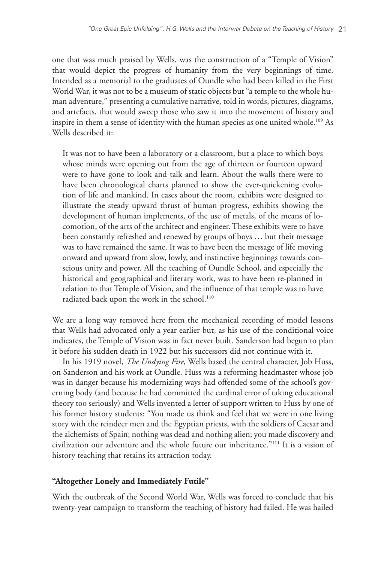one that was much praised by Wells, was the construction of a "Temple of Vision" that would depict the progress of humanity from the very beginnings of time. Intended as a memorial to the graduates of Oundle who had been killed in the First World War, it was not to be a museum of static objects but "a temple to the whole human adventure," presenting a cumulative narrative, told in words, pictures, diagrams, and artefacts, that would sweep those who saw it into the movement of history and inspire in them a sense of identity with the human species as one united whole.<sup>109</sup> As Wells described it:

It was not to have been a laboratory or a classroom, but a place to which boys whose minds were opening out from the age of thirteen or fourteen upward were to have gone to look and talk and learn. About the walls there were to have been chronological charts planned to show the ever-quickening evolution of life and mankind. In cases about the room, exhibits were designed to illustrate the steady upward thrust of human progress, exhibits showing the development of human implements, of the use of metals, of the means of locomotion, of the arts of the architect and engineer. These exhibits were to have been constantly refreshed and renewed by groups of boys … but their message was to have remained the same. It was to have been the message of life moving onward and upward from slow, lowly, and instinctive beginnings towards conscious unity and power. All the teaching of Oundle School, and especially the historical and geographical and literary work, was to have been re-planned in relation to that Temple of Vision, and the influence of that temple was to have radiated back upon the work in the school.<sup>110</sup>

We are a long way removed here from the mechanical recording of model lessons that Wells had advocated only a year earlier but, as his use of the conditional voice indicates, the Temple of Vision was in fact never built. Sanderson had begun to plan it before his sudden death in 1922 but his successors did not continue with it.

In his 1919 novel, *The Undying Fire*, Wells based the central character, Job Huss, on Sanderson and his work at Oundle. Huss was a reforming headmaster whose job was in danger because his modernizing ways had offended some of the school's governing body (and because he had committed the cardinal error of taking educational theory too seriously) and Wells invented a letter of support written to Huss by one of his former history students: "You made us think and feel that we were in one living story with the reindeer men and the Egyptian priests, with the soldiers of Caesar and the alchemists of Spain; nothing was dead and nothing alien; you made discovery and civilization our adventure and the whole future our inheritance."111 It is a vision of history teaching that retains its attraction today.

## **"Altogether Lonely and Immediately Futile"**

With the outbreak of the Second World War, Wells was forced to conclude that his twenty-year campaign to transform the teaching of history had failed. He was hailed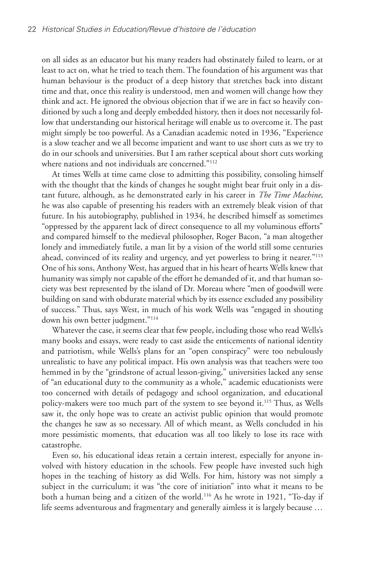on all sides as an educator but his many readers had obstinately failed to learn, or at least to act on, what he tried to teach them. The foundation of his argument was that human behaviour is the product of a deep history that stretches back into distant time and that, once this reality is understood, men and women will change how they think and act. He ignored the obvious objection that if we are in fact so heavily conditioned by such a long and deeply embedded history, then it does not necessarily follow that understanding our historical heritage will enable us to overcome it. The past might simply be too powerful. As a Canadian academic noted in 1936, "Experience is a slow teacher and we all become impatient and want to use short cuts as we try to do in our schools and universities. But I am rather sceptical about short cuts working where nations and not individuals are concerned."<sup>112</sup>

At times Wells at time came close to admitting this possibility, consoling himself with the thought that the kinds of changes he sought might bear fruit only in a distant future, although, as he demonstrated early in his career in *The Time Machine*, he was also capable of presenting his readers with an extremely bleak vision of that future. In his autobiography, published in 1934, he described himself as sometimes "oppressed by the apparent lack of direct consequence to all my voluminous efforts" and compared himself to the medieval philosopher, Roger Bacon, "a man altogether lonely and immediately futile, a man lit by a vision of the world still some centuries ahead, convinced of its reality and urgency, and yet powerless to bring it nearer."<sup>113</sup> One of his sons, Anthony West, has argued that in his heart of hearts Wells knew that humanity was simply not capable of the effort he demanded of it, and that human society was best represented by the island of Dr. Moreau where "men of goodwill were building on sand with obdurate material which by its essence excluded any possibility of success." Thus, says West, in much of his work Wells was "engaged in shouting down his own better judgment."<sup>114</sup>

Whatever the case, it seems clear that few people, including those who read Wells's many books and essays, were ready to cast aside the enticements of national identity and patriotism, while Wells's plans for an "open conspiracy" were too nebulously unrealistic to have any political impact. His own analysis was that teachers were too hemmed in by the "grindstone of actual lesson-giving," universities lacked any sense of "an educational duty to the community as a whole," academic educationists were too concerned with details of pedagogy and school organization, and educational policy-makers were too much part of the system to see beyond it.115 Thus, as Wells saw it, the only hope was to create an activist public opinion that would promote the changes he saw as so necessary. All of which meant, as Wells concluded in his more pessimistic moments, that education was all too likely to lose its race with catastrophe.

Even so, his educational ideas retain a certain interest, especially for anyone involved with history education in the schools. Few people have invested such high hopes in the teaching of history as did Wells. For him, history was not simply a subject in the curriculum; it was "the core of initiation" into what it means to be both a human being and a citizen of the world.116 As he wrote in 1921, "To-day if life seems adventurous and fragmentary and generally aimless it is largely because …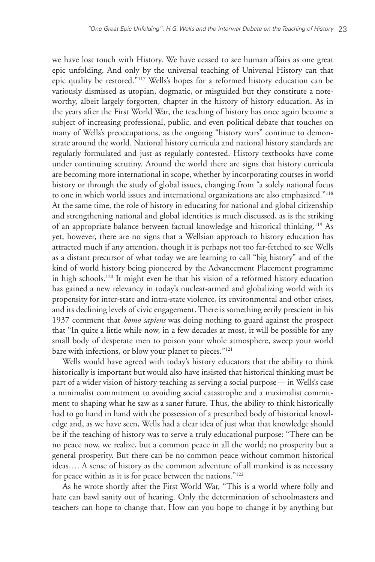we have lost touch with History. We have ceased to see human affairs as one great epic unfolding. And only by the universal teaching of Universal History can that epic quality be restored."117 Wells's hopes for a reformed history education can be variously dismissed as utopian, dogmatic, or misguided but they constitute a noteworthy, albeit largely forgotten, chapter in the history of history education. As in the years after the First World War, the teaching of history has once again become a subject of increasing professional, public, and even political debate that touches on many of Wells's preoccupations, as the ongoing "history wars" continue to demonstrate around the world. National history curricula and national history standards are regularly formulated and just as regularly contested. History textbooks have come under continuing scrutiny. Around the world there are signs that history curricula are becoming more international in scope, whether by incorporating courses in world history or through the study of global issues, changing from "a solely national focus to one in which world issues and international organizations are also emphasized."118 At the same time, the role of history in educating for national and global citizenship and strengthening national and global identities is much discussed, as is the striking of an appropriate balance between factual knowledge and historical thinking.119 As yet, however, there are no signs that a Wellsian approach to history education has attracted much if any attention, though it is perhaps not too far-fetched to see Wells as a distant precursor of what today we are learning to call "big history" and of the kind of world history being pioneered by the Advancement Placement programme in high schools.120 It might even be that his vision of a reformed history education has gained a new relevancy in today's nuclear-armed and globalizing world with its propensity for inter-state and intra-state violence, its environmental and other crises, and its declining levels of civic engagement. There is something eerily prescient in his 1937 comment that *homo sapiens* was doing nothing to guard against the prospect that "In quite a little while now, in a few decades at most, it will be possible for any small body of desperate men to poison your whole atmosphere, sweep your world bare with infections, or blow your planet to pieces."<sup>121</sup>

Wells would have agreed with today's history educators that the ability to think historically is important but would also have insisted that historical thinking must be part of a wider vision of history teaching as serving a social purpose—in Wells's case a minimalist commitment to avoiding social catastrophe and a maximalist commitment to shaping what he saw as a saner future. Thus, the ability to think historically had to go hand in hand with the possession of a prescribed body of historical knowledge and, as we have seen, Wells had a clear idea of just what that knowledge should be if the teaching of history was to serve a truly educational purpose: "There can be no peace now, we realize, but a common peace in all the world; no prosperity but a general prosperity. But there can be no common peace without common historical ideas…. A sense of history as the common adventure of all mankind is as necessary for peace within as it is for peace between the nations."<sup>122</sup>

As he wrote shortly after the First World War, "This is a world where folly and hate can bawl sanity out of hearing. Only the determination of schoolmasters and teachers can hope to change that. How can you hope to change it by anything but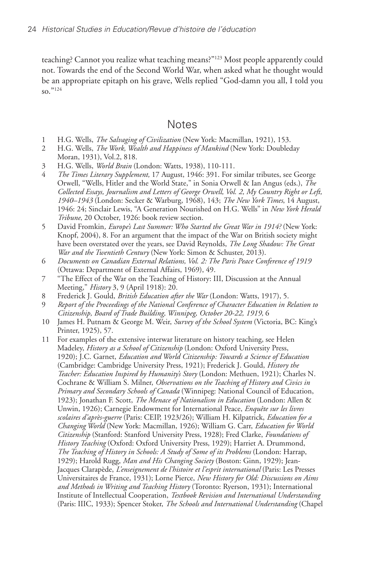teaching? Cannot you realize what teaching means?"123 Most people apparently could not. Towards the end of the Second World War, when asked what he thought would be an appropriate epitaph on his grave, Wells replied "God-damn you all, I told you so."124

# **Notes**

- 1 H.G. Wells, *The Salvaging of Civilization* (New York: Macmillan, 1921), 153.
- 2 H.G. Wells, *The Work, Wealth and Happiness of Mankind* (New York: Doubleday Moran, 1931), Vol.2, 818.
- 3 H.G. Wells, *World Brain* (London: Watts, 1938), 110-111.
- 4 *The Times Literary Supplement,* 17 August, 1946: 391. For similar tributes, see George Orwell, "Wells, Hitler and the World State," in Sonia Orwell & Ian Angus (eds.), *The Collected Essays, Journalism and Letters of George Orwell, Vol. 2, My Country Right or Left, 1940–1943* (London: Secker & Warburg, 1968), 143; *The New York Times*, 14 August, 1946: 24; Sinclair Lewis, "A Generation Nourished on H.G. Wells" in *New York Herald Tribune*, 20 October, 1926: book review section.
- 5 David Fromkin*, Europe's Last Summer: Who Started the Great War in 1914?* (New York: Knopf, 2004), 8. For an argument that the impact of the War on British society might have been overstated over the years, see David Reynolds, *The Long Shadow: The Great War and the Twentieth Century* (New York: Simon & Schuster, 2013).
- 6 *Documents on Canadian External Relations, Vol. 2: The Paris Peace Conference of 1919* (Ottawa: Department of External Affairs, 1969), 49.
- 7 "The Effect of the War on the Teaching of History: III, Discussion at the Annual Meeting," *History* 3, 9 (April 1918): 20.
- 8 Frederick J. Gould, *British Education after the War* (London: Watts, 1917), 5.
- 9 *Report of the Proceedings of the National Conference of Character Education in Relation to Citizenship, Board of Trade Building, Winnipeg, October 20-22, 1919,* 6
- 10 James H. Putnam & George M. Weir, *Survey of the School System* (Victoria, BC: King's Printer, 1925), 57.
- 11 For examples of the extensive interwar literature on history teaching, see Helen Madeley, *History as a School of Citizenship* (London: Oxford University Press, 1920); J.C. Garnet, *Education and World Citizenship: Towards a Science of Education* (Cambridge: Cambridge University Press, 1921); Frederick J. Gould, *History the Teacher: Education Inspired by Humanity's Story* (London: Methuen, 1921); Charles N. Cochrane & William S. Milner, *Observations on the Teaching of History and Civics in Primary and Secondary Schools of Canada* (Winnipeg: National Council of Education, 1923); Jonathan F. Scott, *The Menace of Nationalism in Education* (London: Allen & Unwin, 1926); Carnegie Endowment for International Peace, *Enquête sur les livres scolaires d'après-guerre* (Paris: CEIP, 1923/26); William H. Kilpatrick, *Education for a Changing World* (New York: Macmillan, 1926); William G. Carr, *Education for World Citizenship* (Stanford: Stanford University Press, 1928); Fred Clarke, *Foundations of History Teaching* (Oxford: Oxford University Press, 1929); Harriet A. Drummond, *The Teaching of History in Schools: A Study of Some of its Problems* (London: Harrap, 1929); Harold Rugg, *Man and His Changing Society* (Boston: Ginn, 1929); Jean-Jacques Clarapède, *L'enseignement de l'histoire et l'esprit international* (Paris: Les Presses Universitaires de France, 1931); Lorne Pierce, *New History for Old: Discussions on Aims and Methods in Writing and Teaching History* (Toronto: Ryerson, 1931); International Institute of Intellectual Cooperation, *Textbook Revision and International Understanding* (Paris: IIIC, 1933); Spencer Stoker, *The Schools and International Understanding* (Chapel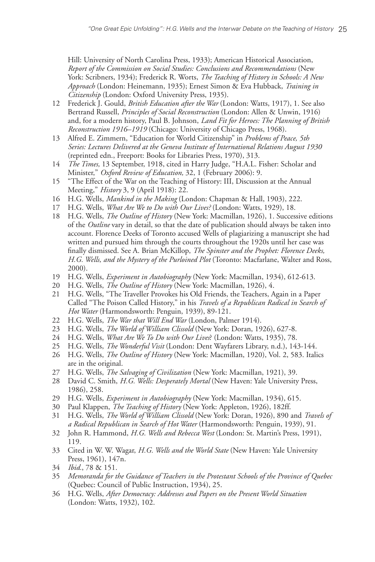Hill: University of North Carolina Press, 1933); American Historical Association, *Report of the Commission on Social Studies: Conclusions and Recommendations* (New York: Scribners, 1934); Frederick R. Worts, *The Teaching of History in Schools: A New Approach* (London: Heinemann, 1935); Ernest Simon & Eva Hubback, *Training in Citizenship* (London: Oxford University Press, 1935).

- 12 Frederick J. Gould, *British Education after the War* (London: Watts, 1917), 1. See also Bertrand Russell, *Principles of Social Reconstruction* (London: Allen & Unwin, 1916) and, for a modern history, Paul B. Johnson, *Land Fit for Heroes: The Planning of British Reconstruction 1916–1919* (Chicago: University of Chicago Press, 1968).
- 13 Alfred E. Zimmern, "Education for World Citizenship" in *Problems of Peace, 5th Series: Lectures Delivered at the Geneva Institute of International Relations August 1930* (reprinted edn., Freeport: Books for Libraries Press, 1970), 313.
- 14 *The Times,* 13 September, 1918, cited in Harry Judge, "H.A.L. Fisher: Scholar and Minister," *Oxford Review of Education,* 32, 1 (February 2006): 9.
- 15 "The Effect of the War on the Teaching of History: III, Discussion at the Annual Meeting," *History* 3, 9 (April 1918): 22.
- 16 H.G. Wells, *Mankind in the Making* (London: Chapman & Hall, 1903), 222.
- 17 H.G. Wells, *What Are We to Do with Our Lives?* (London: Watts, 1929), 18.
- 18 H.G. Wells, *The Outline of History* (New York: Macmillan, 1926), 1. Successive editions of the *Outline* vary in detail, so that the date of publication should always be taken into account. Florence Deeks of Toronto accused Wells of plagiarizing a manuscript she had written and pursued him through the courts throughout the 1920s until her case was finally dismissed. See A. Brian McKillop, *The Spinster and the Prophet: Florence Deeks, H.G. Wells, and the Mystery of the Purloined Plot* (Toronto: Macfarlane, Walter and Ross, 2000).
- 19 H.G. Wells, *Experiment in Autobiography* (New York: Macmillan, 1934), 612-613.
- 20 H.G. Wells, *The Outline of History* (New York: Macmillan, 1926), 4.
- 21 H.G. Wells, "The Traveller Provokes his Old Friends, the Teachers, Again in a Paper Called "The Poison Called History," in his *Travels of a Republican Radical in Search of Hot Water* (Harmondsworth: Penguin, 1939), 89-121.
- 22 H.G. Wells, *The War that Will End War* (London, Palmer 1914).
- 23 H.G. Wells, *The World of William Clissold* (New York: Doran, 1926), 627-8.
- 24 H.G. Wells, *What Are We To Do with Our Lives*? (London: Watts, 1935), 78.
- 25 H.G. Wells, *The Wonderful Visit* (London: Dent Wayfarers Library, n.d.), 143-144.
- 26 H.G. Wells, *The Outline of History* (New York: Macmillan, 1920), Vol. 2, 583. Italics are in the original.
- 27 H.G. Wells, *The Salvaging of Civilization* (New York: Macmillan, 1921), 39.
- 28 David C. Smith, *H.G. Wells: Desperately Mortal* (New Haven: Yale University Press, 1986), 258.
- 29 H.G. Wells, *Experiment in Autobiography* (New York: Macmillan, 1934), 615.
- 30 Paul Klappen, *The Teaching of History* (New York: Appleton, 1926), 182ff.
- 31 H.G. Wells, *The World of William Clissold* (New York: Doran, 1926), 890 and *Travels of a Radical Republican in Search of Hot Water* (Harmondsworth: Penguin, 1939), 91.
- 32 John R. Hammond, *H.G. Wells and Rebecca West* (London: St. Martin's Press, 1991), 119.
- 33 Cited in W. W. Wagar, *H.G. Wells and the World State* (New Haven: Yale University Press, 1961), 147n.
- 34 *Ibid.*, 78 & 151.
- 35 *Memoranda for the Guidance of Teachers in the Protestant Schools of the Province of Quebec* (Quebec: Council of Public Instruction, 1934), 25.
- 36 H.G. Wells, *After Democracy: Addresses and Papers on the Present World Situation*  (London: Watts, 1932), 102.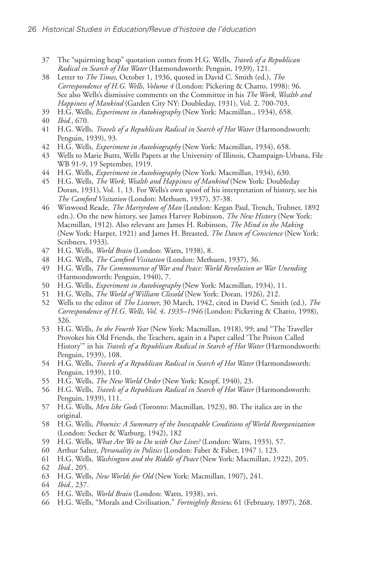- 37 The "squirming heap" quotation comes from H.G. Wells, *Travels of a Republican Radical in Search of Hot Water* (Harmondsworth: Penguin, 1939), 121.
- 38 Letter to *The Times*, October 1, 1936, quoted in David C. Smith (ed.), *The Correspondence of H.G. Wells, Volume 4* (London: Pickering & Chatto, 1998): 96. See also Wells's dismissive comments on the Committee in his *The Work, Wealth and Happiness of Mankind* (Garden City NY: Doubleday, 1931), Vol. 2, 700-703.
- 39 H.G. Wells, *Experiment in Autobiography* (New York: Macmillan., 1934), 658.
- 40 *Ibid.,* 670.
- 41 H.G. Wells, *Travels of a Republican Radical in Search of Hot Water* (Harmondsworth: Penguin, 1939), 93.
- 42 H.G. Wells, *Experiment in Autobiography* (New York: Macmillan, 1934), 658.
- 43 Wells to Marie Butts, Wells Papers at the University of Illinois, Champaign-Urbana, File WB 91-9, 19 September, 1919.
- 44 H.G. Wells, *Experiment in Autobiography* (New York: Macmillan, 1934), 630.
- 45 H.G. Wells, *The Work, Wealth and Happiness of Mankind* (New York: Doubleday Doran, 1931), Vol. 1, 13. For Wells's own spoof of his interpretation of history, see his *The Camford Visitation* (London: Methuen, 1937), 37-38.
- 46 Winwood Reade, *The Martyrdom of Man* (London: Kegan Paul, Trench, Trubner, 1892 edn.). On the new history, see James Harvey Robinson, *The New History* (New York: Macmillan, 1912). Also relevant are James H. Robinson, *The Mind in the Making* (New York: Harper, 1921) and James H. Breasted, *The Dawn of Conscience* (New York: Scribners, 1933).
- 47 H.G. Wells, *World Brain* (London: Watts, 1938), 8.
- 48 H.G. Wells, *The Camford Visitation* (London: Methuen, 1937), 36.
- 49 H.G. Wells, *The Commonsense of War and Peace: World Revolution or War Unending* (Harmondsworth: Penguin, 1940), 7.
- 50 H.G. Wells, *Experiment in Autobiography* (New York: Macmillan, 1934), 11.
- 51 H.G. Wells, *The World of William Clissold* (New York: Doran, 1926), 212.
- 52 Wells to the editor of *The Listener*, 30 March, 1942, cited in David C. Smith (ed.), *The Correspondence of H.G. Wells, Vol. 4, 1935–1946* (London: Pickering & Chatto, 1998), 326.
- 53 H.G. Wells, *In the Fourth Year* (New York: Macmillan, 1918), 99; and "The Traveller Provokes his Old Friends, the Teachers, again in a Paper called 'The Poison Called History'" in his *Travels of a Republican Radical in Search of Hot Water* (Harmondsworth: Penguin, 1939), 108.
- 54 H.G. Wells, *Travels of a Republican Radical in Search of Hot Water* (Harmondsworth: Penguin, 1939), 110.
- 55 H.G. Wells, *The New World Order* (New York: Knopf, 1940), 23.
- 56 H.G. Wells, *Travels of a Republican Radical in Search of Hot Water* (Harmondsworth: Penguin, 1939), 111.
- 57 H.G. Wells, *Men like Gods* (Toronto: Macmillan, 1923), 80. The italics are in the original.
- 58 H.G. Wells, *Phoenix: A Summary of the Inescapable Conditions of World Reorganization*  (London: Secker & Warburg, 1942), 182
- 59 H.G. Wells, *What Are We to Do with Our Lives?* (London: Watts, 1935), 57.
- 60 Arthur Salter, *Personality in Politics* (London: Faber & Faber, 1947 ), 123.
- 61 H.G. Wells, *Washington and the Riddle of Peace* (New York: Macmillan, 1922), 205.
- 62 *Ibid.,* 205.
- 63 H.G. Wells, *New Worlds for Old* (New York: Macmillan, 1907), 241.
- 64 *Ibid.,* 237.
- 65 H.G. Wells, *World Brain* (London: Watts, 1938), xvi.
- 66 H.G. Wells, "Morals and Civilisation," *Fortnightly Review,* 61 (February, 1897), 268.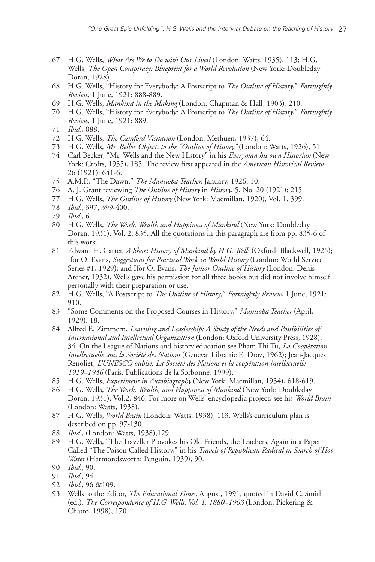- 67 H.G. Wells, *What Are We to Do with Our Lives?* (London: Watts, 1935), 113; H.G. Wells, *The Open Conspiracy: Blueprint for a World Revolution* (New York: Doubleday Doran, 1928).
- 68 H.G. Wells, "History for Everybody: A Postscript to *The Outline of History*," *Fortnightly Review,* 1 June, 1921: 888-889.
- 69 H.G. Wells, *Mankind in the Making* (London: Chapman & Hall, 1903), 210.
- 70 H.G. Wells, "History for Everybody: A Postscript to *The Outline of History*," *Fortnightly Review,* 1 June, 1921: 889.
- 71 *Ibid.,* 888.
- 72 H.G. Wells, *The Camford Visitation* (London: Methuen, 1937), 64.
- 73 H.G. Wells, *Mr. Belloc Objects to the "Outline of History"* (London: Watts, 1926), 51.
- 74 Carl Becker, "Mr. Wells and the New History" in his *Everyman his own Historian* (New York: Crofts, 1935), 185. The review first appeared in the *American Historical Review,* 26 (1921): 641-6.
- 75 A.M.P., "The Dawn," *The Manitoba Teacher,* January, 1926: 10.
- 76 A. J. Grant reviewing *The Outline of History* in *History*, 5, No. 20 (1921): 215.
- 77 H.G. Wells, *The Outline of History* (New York: Macmillan, 1920), Vol. 1, 399.
- 78 *Ibid.,* 397, 399-400.
- 79 *Ibid.*, 6.
- 80 H.G. Wells, *The Work, Wealth and Happiness of Mankind* (New York: Doubleday Doran, 1931), Vol. 2, 835. All the quotations in this paragraph are from pp. 835-6 of this work.
- 81 Edward H. Carter, *A Short History of Mankind by H.G. Wells* (Oxford: Blackwell, 1925); Ifor O. Evans, *Suggestions for Practical Work in World History* (London: World Service Series #1, 1929); and Ifor O. Evans, *The Junior Outline of History* (London: Denis Archer, 1932). Wells gave his permission for all three books but did not involve himself personally with their preparation or use.
- 82 H.G. Wells, "A Postscript to *The Outline of History*," *Fortnightly Review*, 1 June, 1921: 910.
- 83 "Some Comments on the Proposed Courses in History," *Manitoba Teacher* (April, 1929): 18.
- 84 Alfred E. Zimmern, *Learning and Leadership: A Study of the Needs and Possibilities of International and Intellectual Organization* (London: Oxford University Press, 1928), 34. On the League of Nations and history education see Pham Thi Tu, *La Coopération Intellectuelle sous la Société des Nations* (Geneva: Librairie E. Droz, 1962); Jean-Jacques Renoliet, *L'UNESCO oublié: La Société des Nations et la coopération intellectuelle 1919–1946* (Paris: Publications de la Sorbonne, 1999).
- 85 H.G. Wells, *Experiment in Autobiography* (New York: Macmillan, 1934), 618-619.
- 86 H.G. Wells, *The Work, Wealth, and Happiness of Mankind* (New York: Doubleday Doran, 1931), Vol.2, 846. For more on Wells' encyclopedia project, see his *World Brain* (London: Watts, 1938).
- 87 H.G. Wells, *World Brain* (London: Watts, 1938), 113. Wells's curriculum plan is described on pp. 97-130.
- 88 *Ibid*., (London: Watts, 1938),129.
- 89 H.G. Wells, "The Traveller Provokes his Old Friends, the Teachers, Again in a Paper Called "The Poison Called History," in his *Travels of Republican Radical in Search of Hot Water* (Harmondsworth: Penguin, 1939), 90.
- 90 *Ibid.,* 90.
- 91 *Ibid.,* 94.
- 92 *Ibid.,* 96 &109.
- 93 Wells to the Editor, *The Educational Times*, August, 1991, quoted in David C. Smith (ed.), *The Correspondence of H.G. Wells, Vol. 1, 1880–1903* (London: Pickering & Chatto, 1998), 170.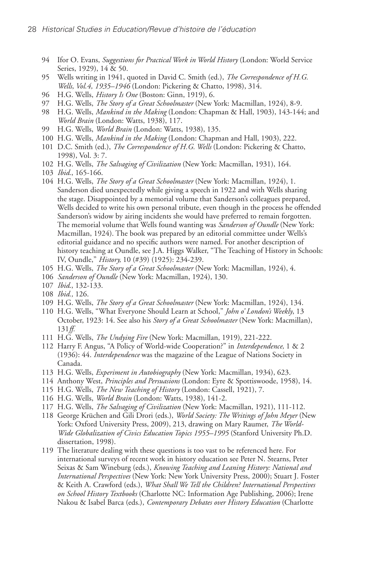- 94 Ifor O. Evans, *Suggestions for Practical Work in World History* (London: World Service Series, 1929), 14 & 50.
- 95 Wells writing in 1941, quoted in David C. Smith (ed.), *The Correspondence of H.G. Wells, Vol.4, 1935–1946* (London: Pickering & Chatto, 1998), 314.
- 96 H.G. Wells, *History Is One* (Boston: Ginn, 1919), 6.
- 97 H.G. Wells, *The Story of a Great Schoolmaster* (New York: Macmillan, 1924), 8-9.
- 98 H.G. Wells, *Mankind in the Making* (London: Chapman & Hall, 1903), 143-144; and *World Brain* (London: Watts, 1938), 117.
- 99 H.G. Wells, *World Brain* (London: Watts, 1938), 135.
- 100 H.G. Wells, *Mankind in the Making* (London: Chapman and Hall, 1903), 222.
- 101 D.C. Smith (ed.), *The Correspondence of H.G. Wells* (London: Pickering & Chatto, 1998), Vol. 3: 7.
- 102 H.G. Wells, *The Salvaging of Civilization* (New York: Macmillan, 1931), 164.
- 103 *Ibid.*, 165-166.
- 104 H.G. Wells, *The Story of a Great Schoolmaster* (New York: Macmillan, 1924), 1. Sanderson died unexpectedly while giving a speech in 1922 and with Wells sharing the stage. Disappointed by a memorial volume that Sanderson's colleagues prepared, Wells decided to write his own personal tribute, even though in the process he offended Sanderson's widow by airing incidents she would have preferred to remain forgotten. The memorial volume that Wells found wanting was *Sanderson of Oundle* (New York: Macmillan, 1924). The book was prepared by an editorial committee under Wells's editorial guidance and no specific authors were named. For another description of history teaching at Oundle, see J.A. Higgs Walker, "The Teaching of History in Schools: IV, Oundle," *History,* 10 (#39) (1925): 234-239.
- 105 H.G. Wells, *The Story of a Great Schoolmaster* (New York: Macmillan, 1924), 4.
- 106 *Sanderson of Oundle* (New York: Macmillan, 1924), 130.
- 107 *Ibid*., 132-133.
- 108 *Ibid.,* 126.
- 109 H.G. Wells, *The Story of a Great Schoolmaster* (New York: Macmillan, 1924), 134.
- 110 H.G. Wells, "What Everyone Should Learn at School," *John o' London's Weekly*, 13 October, 1923: 14. See also his *Story of a Great Schoolmaster* (New York: Macmillan), 131*ff.*
- 111 H.G. Wells, *The Undying Fire* (New York: Macmillan, 1919), 221-222.
- 112 Harry F. Angus, "A Policy of World-wide Cooperation?" in *Interdependence,* 1 & 2 (1936): 44. *Interdependence* was the magazine of the League of Nations Society in Canada.
- 113 H.G. Wells, *Experiment in Autobiography* (New York: Macmillan, 1934), 623.
- 114 Anthony West, *Principles and Persuasions* (London: Eyre & Spottiswoode, 1958), 14.
- 115 H.G. Wells, *The New Teaching of History* (London: Cassell, 1921), 7.
- 116 H.G. Wells, *World Brain* (London: Watts, 1938), 141-2.
- 117 H.G. Wells, *The Salvaging of Civilization* (New York: Macmillan, 1921), 111-112.
- 118 George Krüchen and Gili Drori (eds.), *World Society: The Writings of John Meyer* (New York: Oxford University Press, 2009), 213, drawing on Mary Raumer, *The World-Wide Globalization of Civics Education Topics 1955–1995* (Stanford University Ph.D. dissertation, 1998).
- 119 The literature dealing with these questions is too vast to be referenced here. For international surveys of recent work in history education see Peter N. Stearns, Peter Seixas & Sam Wineburg (eds.), *Knowing Teaching and Leaning History: National and International Perspectives* (New York: New York University Press, 2000); Stuart J. Foster & Keith A. Crawford (eds.), *What Shall We Tell the Children? International Perspectives on School History Textbooks* (Charlotte NC: Information Age Publishing, 2006); Irene Nakou & Isabel Barca (eds.), *Contemporary Debates over History Education* (Charlotte